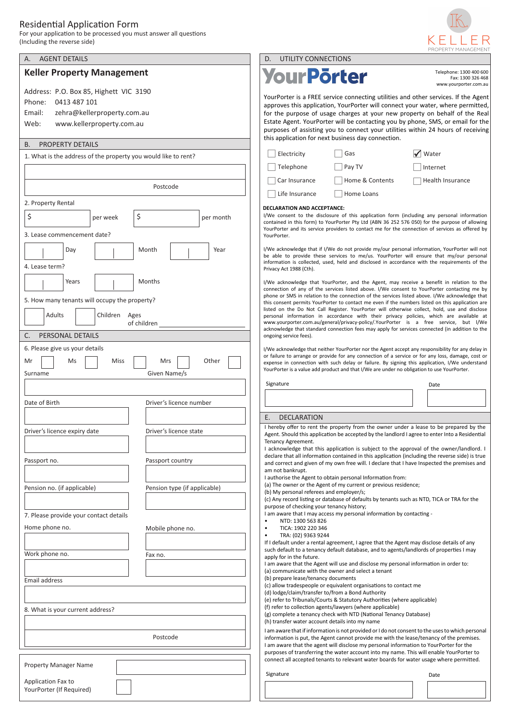## Residential Application Form

For your application to be processed you must answer all questions (Including the reverse side)



|                                                                                                                                                |                                                                                                                                                                                                                                                                                                                      |                                                                                                                                                                                                                                                                                                                                                                                                                                                                                                                                                                                                                                                                                                                                                                                     |                                                                                                                                                                                                                                                                                                                                                                                                                                                                                   | PROPERTY MANAGEMEN                               |                   |
|------------------------------------------------------------------------------------------------------------------------------------------------|----------------------------------------------------------------------------------------------------------------------------------------------------------------------------------------------------------------------------------------------------------------------------------------------------------------------|-------------------------------------------------------------------------------------------------------------------------------------------------------------------------------------------------------------------------------------------------------------------------------------------------------------------------------------------------------------------------------------------------------------------------------------------------------------------------------------------------------------------------------------------------------------------------------------------------------------------------------------------------------------------------------------------------------------------------------------------------------------------------------------|-----------------------------------------------------------------------------------------------------------------------------------------------------------------------------------------------------------------------------------------------------------------------------------------------------------------------------------------------------------------------------------------------------------------------------------------------------------------------------------|--------------------------------------------------|-------------------|
| <b>AGENT DETAILS</b><br>А.                                                                                                                     |                                                                                                                                                                                                                                                                                                                      | UTILITY CONNECTIONS<br>D.                                                                                                                                                                                                                                                                                                                                                                                                                                                                                                                                                                                                                                                                                                                                                           |                                                                                                                                                                                                                                                                                                                                                                                                                                                                                   |                                                  |                   |
| <b>Keller Property Management</b>                                                                                                              |                                                                                                                                                                                                                                                                                                                      | <b>YourPörter</b>                                                                                                                                                                                                                                                                                                                                                                                                                                                                                                                                                                                                                                                                                                                                                                   |                                                                                                                                                                                                                                                                                                                                                                                                                                                                                   | Telephone: 1300 400 600<br>www.yourporter.com.au | Fax: 1300 326 468 |
| Address: P.O. Box 85, Highett VIC 3190<br>0413 487 101<br>Phone:<br>Email:<br>zehra@kellerproperty.com.au<br>Web:<br>www.kellerproperty.com.au |                                                                                                                                                                                                                                                                                                                      |                                                                                                                                                                                                                                                                                                                                                                                                                                                                                                                                                                                                                                                                                                                                                                                     | YourPorter is a FREE service connecting utilities and other services. If the Agent<br>approves this application, YourPorter will connect your water, where permitted,<br>for the purpose of usage charges at your new property on behalf of the Real<br>Estate Agent. YourPorter will be contacting you by phone, SMS, or email for the<br>purposes of assisting you to connect your utilities within 24 hours of receiving<br>this application for next business day connection. |                                                  |                   |
| PROPERTY DETAILS<br>В.                                                                                                                         |                                                                                                                                                                                                                                                                                                                      |                                                                                                                                                                                                                                                                                                                                                                                                                                                                                                                                                                                                                                                                                                                                                                                     |                                                                                                                                                                                                                                                                                                                                                                                                                                                                                   |                                                  |                   |
| 1. What is the address of the property you would like to rent?                                                                                 |                                                                                                                                                                                                                                                                                                                      | Electricity                                                                                                                                                                                                                                                                                                                                                                                                                                                                                                                                                                                                                                                                                                                                                                         | Gas                                                                                                                                                                                                                                                                                                                                                                                                                                                                               | √ Water                                          |                   |
|                                                                                                                                                |                                                                                                                                                                                                                                                                                                                      | Telephone                                                                                                                                                                                                                                                                                                                                                                                                                                                                                                                                                                                                                                                                                                                                                                           | Pay TV                                                                                                                                                                                                                                                                                                                                                                                                                                                                            | Internet                                         |                   |
|                                                                                                                                                |                                                                                                                                                                                                                                                                                                                      | Car Insurance                                                                                                                                                                                                                                                                                                                                                                                                                                                                                                                                                                                                                                                                                                                                                                       | Home & Contents                                                                                                                                                                                                                                                                                                                                                                                                                                                                   | Health Insurance                                 |                   |
|                                                                                                                                                | Postcode                                                                                                                                                                                                                                                                                                             | Life Insurance                                                                                                                                                                                                                                                                                                                                                                                                                                                                                                                                                                                                                                                                                                                                                                      | Home Loans                                                                                                                                                                                                                                                                                                                                                                                                                                                                        |                                                  |                   |
| 2. Property Rental                                                                                                                             |                                                                                                                                                                                                                                                                                                                      | DECLARATION AND ACCEPTANCE:                                                                                                                                                                                                                                                                                                                                                                                                                                                                                                                                                                                                                                                                                                                                                         |                                                                                                                                                                                                                                                                                                                                                                                                                                                                                   |                                                  |                   |
| \$<br>\$<br>per week<br>3. Lease commencement date?                                                                                            | I/We consent to the disclosure of this application form (including any personal information<br>contained in this form) to YourPorter Pty Ltd (ABN 36 252 576 050) for the purpose of allowing<br>YourPorter and its service providers to contact me for the connection of services as offered by<br>YourPorter.      |                                                                                                                                                                                                                                                                                                                                                                                                                                                                                                                                                                                                                                                                                                                                                                                     |                                                                                                                                                                                                                                                                                                                                                                                                                                                                                   |                                                  |                   |
| Day<br>Month<br>4. Lease term?                                                                                                                 | I/We acknowledge that if I/We do not provide my/our personal information, YourPorter will not<br>be able to provide these services to me/us. YourPorter will ensure that my/our personal<br>information is collected, used, held and disclosed in accordance with the requirements of the<br>Privacy Act 1988 (Cth). |                                                                                                                                                                                                                                                                                                                                                                                                                                                                                                                                                                                                                                                                                                                                                                                     |                                                                                                                                                                                                                                                                                                                                                                                                                                                                                   |                                                  |                   |
| Months<br>Years<br>5. How many tenants will occupy the property?<br>Adults<br>Children<br>Ages<br>of children<br>PERSONAL DETAILS<br>C.        |                                                                                                                                                                                                                                                                                                                      | I/We acknowledge that YourPorter, and the Agent, may receive a benefit in relation to the<br>connection of any of the services listed above. I/We consent to YourPorter contacting me by<br>phone or SMS in relation to the connection of the services listed above. I/We acknowledge that<br>this consent permits YourPorter to contact me even if the numbers listed on this application are<br>listed on the Do Not Call Register. YourPorter will otherwise collect, hold, use and disclose<br>personal information in accordance with their privacy policies, which are available at<br>www.yourporter.com.au/general/privacy-policy/.YourPorter is a free service, but l/We<br>acknowledge that standard connection fees may apply for services connected (in addition to the |                                                                                                                                                                                                                                                                                                                                                                                                                                                                                   |                                                  |                   |
|                                                                                                                                                |                                                                                                                                                                                                                                                                                                                      | ongoing service fees).                                                                                                                                                                                                                                                                                                                                                                                                                                                                                                                                                                                                                                                                                                                                                              |                                                                                                                                                                                                                                                                                                                                                                                                                                                                                   |                                                  |                   |
| 6. Please give us your details<br>Miss<br>Mrs<br>Other<br>Mr<br>Ms<br>Given Name/s<br>Surname                                                  |                                                                                                                                                                                                                                                                                                                      |                                                                                                                                                                                                                                                                                                                                                                                                                                                                                                                                                                                                                                                                                                                                                                                     | I/We acknowledge that neither YourPorter nor the Agent accept any responsibility for any delay in<br>or failure to arrange or provide for any connection of a service or for any loss, damage, cost or<br>expense in connection with such delay or failure. By signing this application, I/We understand<br>YourPorter is a value add product and that I/We are under no obligation to use YourPorter.                                                                            |                                                  |                   |
| Date of Birth                                                                                                                                  | Driver's licence number                                                                                                                                                                                                                                                                                              | Signature                                                                                                                                                                                                                                                                                                                                                                                                                                                                                                                                                                                                                                                                                                                                                                           |                                                                                                                                                                                                                                                                                                                                                                                                                                                                                   | Date                                             |                   |
|                                                                                                                                                |                                                                                                                                                                                                                                                                                                                      | <b>DECLARATION</b><br>Ε.                                                                                                                                                                                                                                                                                                                                                                                                                                                                                                                                                                                                                                                                                                                                                            |                                                                                                                                                                                                                                                                                                                                                                                                                                                                                   |                                                  |                   |
| Driver's licence expiry date                                                                                                                   | Driver's licence state                                                                                                                                                                                                                                                                                               | Tenancy Agreement.                                                                                                                                                                                                                                                                                                                                                                                                                                                                                                                                                                                                                                                                                                                                                                  | I hereby offer to rent the property from the owner under a lease to be prepared by the<br>Agent. Should this application be accepted by the landlord I agree to enter Into a Residential                                                                                                                                                                                                                                                                                          |                                                  |                   |
| Passport no.                                                                                                                                   | Passport country                                                                                                                                                                                                                                                                                                     | am not bankrupt.                                                                                                                                                                                                                                                                                                                                                                                                                                                                                                                                                                                                                                                                                                                                                                    | I acknowledge that this application is subject to the approval of the owner/landlord. I<br>declare that all information contained in this application (including the reverse side) is true<br>and correct and given of my own free will. I declare that I have Inspected the premises and                                                                                                                                                                                         |                                                  |                   |
| Pension no. (if applicable)                                                                                                                    | Pension type (if applicable)                                                                                                                                                                                                                                                                                         | (b) My personal referees and employer/s;                                                                                                                                                                                                                                                                                                                                                                                                                                                                                                                                                                                                                                                                                                                                            | I authorise the Agent to obtain personal Information from:<br>(a) The owner or the Agent of my current or previous residence;<br>(c) Any record listing or database of defaults by tenants such as NTD, TICA or TRA for the                                                                                                                                                                                                                                                       |                                                  |                   |
| 7. Please provide your contact details                                                                                                         |                                                                                                                                                                                                                                                                                                                      | purpose of checking your tenancy history;                                                                                                                                                                                                                                                                                                                                                                                                                                                                                                                                                                                                                                                                                                                                           | I am aware that I may access my personal information by contacting -                                                                                                                                                                                                                                                                                                                                                                                                              |                                                  |                   |
| Home phone no.<br>Mobile phone no.                                                                                                             |                                                                                                                                                                                                                                                                                                                      | NTD: 1300 563 826<br>$\bullet$<br>$\bullet$                                                                                                                                                                                                                                                                                                                                                                                                                                                                                                                                                                                                                                                                                                                                         | TICA: 1902 220 346                                                                                                                                                                                                                                                                                                                                                                                                                                                                |                                                  |                   |
|                                                                                                                                                |                                                                                                                                                                                                                                                                                                                      | TRA: (02) 9363 9244<br>$\bullet$                                                                                                                                                                                                                                                                                                                                                                                                                                                                                                                                                                                                                                                                                                                                                    |                                                                                                                                                                                                                                                                                                                                                                                                                                                                                   |                                                  |                   |
| Work phone no.                                                                                                                                 | Fax no.                                                                                                                                                                                                                                                                                                              | apply for in the future.                                                                                                                                                                                                                                                                                                                                                                                                                                                                                                                                                                                                                                                                                                                                                            | If I default under a rental agreement, I agree that the Agent may disclose details of any<br>such default to a tenancy default database, and to agents/landlords of properties I may<br>I am aware that the Agent will use and disclose my personal information in order to:                                                                                                                                                                                                      |                                                  |                   |
| <b>Email address</b>                                                                                                                           |                                                                                                                                                                                                                                                                                                                      | (a) communicate with the owner and select a tenant<br>(b) prepare lease/tenancy documents                                                                                                                                                                                                                                                                                                                                                                                                                                                                                                                                                                                                                                                                                           |                                                                                                                                                                                                                                                                                                                                                                                                                                                                                   |                                                  |                   |
|                                                                                                                                                |                                                                                                                                                                                                                                                                                                                      | (c) allow tradespeople or equivalent organisations to contact me<br>(d) lodge/claim/transfer to/from a Bond Authority                                                                                                                                                                                                                                                                                                                                                                                                                                                                                                                                                                                                                                                               |                                                                                                                                                                                                                                                                                                                                                                                                                                                                                   |                                                  |                   |
|                                                                                                                                                |                                                                                                                                                                                                                                                                                                                      |                                                                                                                                                                                                                                                                                                                                                                                                                                                                                                                                                                                                                                                                                                                                                                                     | (e) refer to Tribunals/Courts & Statutory Authorities (where applicable)                                                                                                                                                                                                                                                                                                                                                                                                          |                                                  |                   |
| 8. What is your current address?                                                                                                               | (f) refer to collection agents/lawyers (where applicable)<br>(g) complete a tenancy check with NTD (National Tenancy Database)                                                                                                                                                                                       |                                                                                                                                                                                                                                                                                                                                                                                                                                                                                                                                                                                                                                                                                                                                                                                     |                                                                                                                                                                                                                                                                                                                                                                                                                                                                                   |                                                  |                   |
|                                                                                                                                                |                                                                                                                                                                                                                                                                                                                      |                                                                                                                                                                                                                                                                                                                                                                                                                                                                                                                                                                                                                                                                                                                                                                                     |                                                                                                                                                                                                                                                                                                                                                                                                                                                                                   |                                                  |                   |
|                                                                                                                                                |                                                                                                                                                                                                                                                                                                                      | (h) transfer water account details into my name                                                                                                                                                                                                                                                                                                                                                                                                                                                                                                                                                                                                                                                                                                                                     |                                                                                                                                                                                                                                                                                                                                                                                                                                                                                   |                                                  |                   |
|                                                                                                                                                | Postcode                                                                                                                                                                                                                                                                                                             |                                                                                                                                                                                                                                                                                                                                                                                                                                                                                                                                                                                                                                                                                                                                                                                     | I am aware that if information is not provided or I do not consent to the uses to which personal<br>information is put, the Agent cannot provide me with the lease/tenancy of the premises.<br>I am aware that the agent will disclose my personal information to YourPorter for the<br>purposes of transferring the water account into my name. This will enable YourPorter to                                                                                                   |                                                  |                   |
| <b>Property Manager Name</b>                                                                                                                   |                                                                                                                                                                                                                                                                                                                      |                                                                                                                                                                                                                                                                                                                                                                                                                                                                                                                                                                                                                                                                                                                                                                                     | connect all accepted tenants to relevant water boards for water usage where permitted.                                                                                                                                                                                                                                                                                                                                                                                            |                                                  |                   |
| Application Fax to                                                                                                                             |                                                                                                                                                                                                                                                                                                                      | Signature                                                                                                                                                                                                                                                                                                                                                                                                                                                                                                                                                                                                                                                                                                                                                                           |                                                                                                                                                                                                                                                                                                                                                                                                                                                                                   | Date                                             |                   |